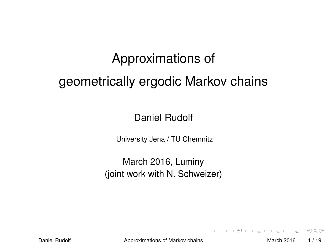# Approximations of geometrically ergodic Markov chains

Daniel Rudolf

University Jena / TU Chemnitz

March 2016, Luminy (joint work with N. Schweizer)

Daniel Rudolf **Approximations of Markov chains** March 2016 1/19

 $\equiv$ 

<span id="page-0-0"></span> $OQ$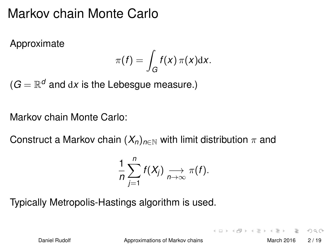### Markov chain Monte Carlo

Approximate

$$
\pi(f) = \int_G f(x) \, \pi(x) \mathrm{d}x.
$$

 $(G=\mathbb{R}^d$  and  ${\rm d}x$  is the Lebesgue measure.)

#### Markov chain Monte Carlo:

Construct a Markov chain  $(X_n)_{n\in\mathbb{N}}$  with limit distribution  $\pi$  and

$$
\frac{1}{n}\sum_{j=1}^n f(X_j) \underset{n\to\infty}{\longrightarrow} \pi(f).
$$

Typically Metropolis-Hastings algorithm is used.

Daniel Rudolf **[Approximations of Markov chains](#page-0-0)** March 2016 2/19

 $A \cup B \cup A \cup B \cup A \cup B \cup A \cup B \cup A \cup B \cup A \cup A$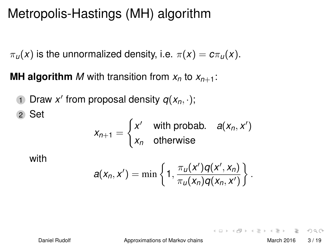## Metropolis-Hastings (MH) algorithm

 $\pi_u(x)$  is the unnormalized density, i.e.  $\pi(x) = c\pi_u(x)$ .

**MH algorithm** *M* with transition from  $x_n$  to  $x_{n+1}$ :

1 Draw  $x'$  from proposal density  $q(x_n, \cdot)$ ; 2 Set

$$
x_{n+1} = \begin{cases} x' & \text{with probab.} \quad a(x_n, x') \\ x_n & \text{otherwise} \end{cases}
$$

with

$$
a(x_n,x')=\min\left\{1,\frac{\pi_u(x')q(x',x_n)}{\pi_u(x_n)q(x_n,x')}\right\}.
$$

 $OQ$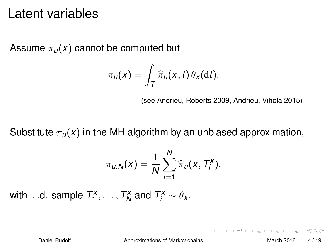#### Latent variables

Assume  $\pi_u(x)$  cannot be computed but

$$
\pi_u(x) = \int_T \widehat{\pi}_u(x, t) \theta_x(\mathrm{d} t).
$$

(see Andrieu, Roberts 2009, Andrieu, Vihola 2015)

Substitute  $\pi_{\mu}(x)$  in the MH algorithm by an unbiased approximation,

$$
\pi_{u,N}(x) = \frac{1}{N} \sum_{i=1}^N \widehat{\pi}_u(x, T_i^x),
$$

with i.i.d. sample  $T_1^x, \ldots, T_N^x$  and  $T_i^x \sim \theta_x$ .

Daniel Rudolf **[Approximations of Markov chains](#page-0-0)** March 2016 4/19

K ロ ▶ K 레 ▶ K 코 ▶ K 코 ▶ | 코 │ ◆ 9,9,0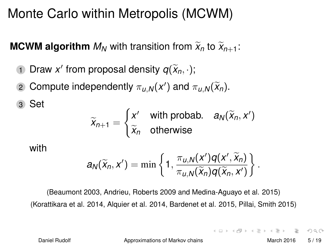### Monte Carlo within Metropolis (MCWM)

**MCWM algorithm**  $M_N$  with transition from  $\widetilde{X}_n$  to  $\widetilde{X}_{n+1}$ :

- 1 Draw *x'* from proposal density  $q(\widetilde{x}_n, \cdot)$ ;
- 2 Compute independently  $\pi_{u,N}(x')$  and  $\pi_{u,N}(\widetilde{x}_n)$ .

$$
\widetilde{x}_{n+1} = \begin{cases} x' & \text{with probab.} \quad a_N(\widetilde{x}_n, x') \\ \widetilde{x}_n & \text{otherwise} \end{cases}
$$

with

3 Set

$$
a_N(\widetilde{x}_n,x')=\min\left\{1,\frac{\pi_{u,N}(x')q(x',\widetilde{x}_n)}{\pi_{u,N}(\widetilde{x}_n)q(\widetilde{x}_n,x')}\right\}.
$$

(Beaumont 2003, Andrieu, Roberts 2009 and Medina-Aguayo et al. 2015) (Korattikara et al. 2014, Alquier et al. 2014, Bardenet et al. 2015, Pillai, Smith 2015)

Daniel Rudolf **[Approximations of Markov chains](#page-0-0)** March 2016 5/19

 $\Omega$ 

 $(0.11)$   $(0.01)$   $(0.01)$   $(0.01)$   $(0.01)$   $(0.01)$   $(0.01)$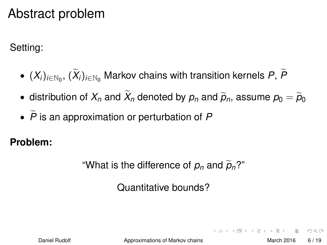### Abstract problem

Setting:

- $\bullet$   $(X_i)_{i \in \mathbb{N}_0}$ ,  $(X_i)_{i \in \mathbb{N}_0}$  Markov chains with transition kernels  $P$ ,  $P$
- $\bullet$  distribution of  $X_n$  and  $X_n$  denoted by  $p_n$  and  $\tilde{p}_n$ , assume  $p_0 = \tilde{p}_0$
- $\cdot$   $\tilde{P}$  is an approximation or perturbation of  $P$

**Problem:**

"What is the difference of  $p_n$  and  $\tilde{p}_n$ ?"

Quantitative bounds?

Daniel Rudolf **[Approximations of Markov chains](#page-0-0)** March 2016 6/19

 $A \cup B \cup A \cup B \cup A \cup B \cup A \cup B \cup A \cup B \cup A \cup A$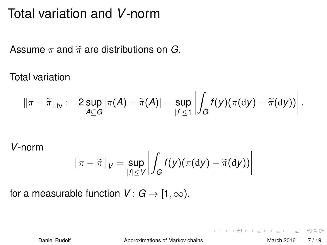### Total variation and *V*-norm

Assume  $\pi$  and  $\widetilde{\pi}$  are distributions on *G*.

Total variation

$$
\|\pi-\widetilde{\pi}\|_{\sf{tv}}:=2\sup_{A\subseteq G}|\pi(A)-\widetilde{\pi}(A)|=\sup_{|f|\leq 1}\left|\int_Gf(y)(\pi(\mathrm{d} y)-\widetilde{\pi}(\mathrm{d} y))\right|.
$$

*V*-norm

$$
\|\pi-\widetilde{\pi}\|_{V}=\sup_{|f|\leq V}\left|\int_{G}f(y)(\pi(\mathrm{d}y)-\widetilde{\pi}(\mathrm{d}y))\right|
$$

for a measurable function  $V: G \rightarrow [1, \infty)$ .

Daniel Rudolf **[Approximations of Markov chains](#page-0-0)** March 2016 7/19

 $OQ$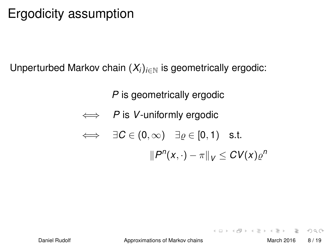## Ergodicity assumption

Unperturbed Markov chain  $(X_i)_{i\in\mathbb{N}}$  is geometrically ergodic:

*P* is geometrically ergodic

$$
\iff P \text{ is } V\text{-uniformly ergodic}
$$

$$
\iff \quad \exists C \in (0,\infty) \quad \exists \varrho \in [0,1) \quad \text{s.t.}
$$
\n
$$
\|P^n(x,\cdot) - \pi\|_V \leq CV(x)\varrho^n
$$

 $OQ$ 

イロトイ部 トイヨトイヨト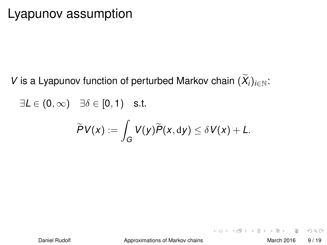#### Lyapunov assumption

*V* is a Lyapunov function of perturbed Markov chain  $(X_i)_{i\in\mathbb{N}}$ :

 $\exists L \in (0, \infty)$   $\exists \delta \in [0, 1)$  s.t.

$$
\widetilde{P}V(x):=\int_G V(y)\widetilde{P}(x,\mathrm{d}y)\leq \delta V(x)+L.
$$

 $OQ$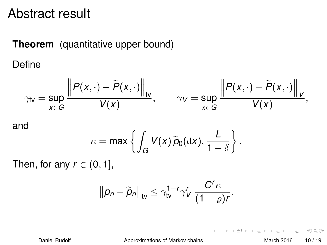#### Abstract result

#### **Theorem** (quantitative upper bound)

Define

$$
\gamma_{\text{tv}} = \sup_{x \in G} \frac{\left\| P(x, \cdot) - \widetilde{P}(x, \cdot) \right\|_{\text{tv}}}{V(x)}, \qquad \gamma_{V} = \sup_{x \in G} \frac{\left\| P(x, \cdot) - \widetilde{P}(x, \cdot) \right\|_{V}}{V(x)},
$$

and

$$
\kappa = \max \left\{ \int_G V(x) \, \widetilde{p}_0(\mathrm{d}x), \frac{L}{1-\delta} \right\}.
$$

Then, for any  $r \in (0, 1]$ ,

$$
\left\|\rho_n-\widetilde{\rho}_n\right\|_{\rm tv}\leq \gamma_{\rm tv}^{1-r}\gamma_V^r\,\frac{C^r\kappa}{(1-\varrho)r}.
$$

Daniel Rudolf **[Approximations of Markov chains](#page-0-0)** March 2016 10/19

 $\equiv$ 

 $OQ$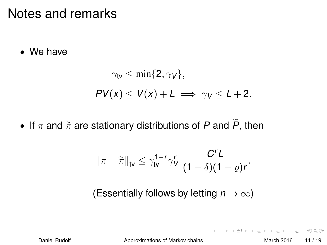#### Notes and remarks

• We have

$$
\gamma_{\text{tv}} \le \min\{2, \gamma_V\},
$$
  
 
$$
PV(x) \le V(x) + L \implies \gamma_V \le L + 2.
$$

• If  $\pi$  and  $\widetilde{\pi}$  are stationary distributions of *P* and  $\widetilde{P}$ , then

$$
\|\pi-\widetilde{\pi}\|_{\text{tv}}\leq \gamma_{\text{tv}}^{1-r}\gamma_V^r\,\frac{C^rL}{(1-\delta)(1-\varrho)r}.
$$

(Essentially follows by letting  $n \to \infty$ )

Daniel Rudolf **[Approximations of Markov chains](#page-0-0)** March 2016 11/19

 $\equiv$ 

 $OQ$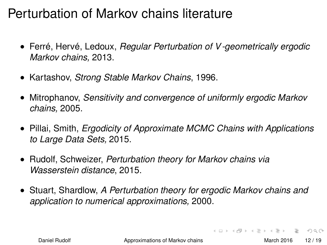### Perturbation of Markov chains literature

- Ferré, Hervé, Ledoux, *Regular Perturbation of V -geometrically ergodic Markov chains,* 2013.
- Kartashov, *Strong Stable Markov Chains*, 1996.
- Mitrophanov, *Sensitivity and convergence of uniformly ergodic Markov chains,* 2005.
- Pillai, Smith, *Ergodicity of Approximate MCMC Chains with Applications to Large Data Sets,* 2015.
- Rudolf, Schweizer, *Perturbation theory for Markov chains via Wasserstein distance*, 2015.
- Stuart, Shardlow, *A Perturbation theory for ergodic Markov chains and application to numerical approximations,* 2000.

Daniel Rudolf [Approximations of Markov chains](#page-0-0) March 2016 12 / 19

 $OQ$ 

 $(0.11 \times 10^6) \times (0.21 \times 10^6) \times (0.21)$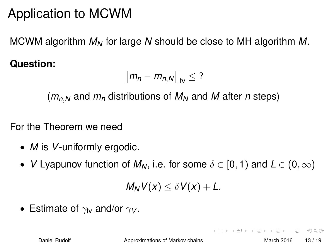## Application to MCWM

MCWM algorithm *M<sup>N</sup>* for large *N* should be close to MH algorithm *M*.

**Question:**

$$
\left\|m_n-m_{n,N}\right\|_{\text{tv}}\leq?
$$

 $(m_{n,N}$  and  $m_n$  distributions of  $M_N$  and M after *n* steps)

For the Theorem we need

- *M* is *V*-uniformly ergodic.
- *V* Lyapunov function of  $M_N$ , i.e. for some  $\delta \in [0,1)$  and  $L \in (0,\infty)$

$$
M_N V(x) \leq \delta V(x) + L.
$$

• Estimate of  $\gamma_V$  and/or  $\gamma_V$ .

Daniel Rudolf **[Approximations of Markov chains](#page-0-0)** March 2016 13/19

- 3

 $\Omega$ 

イロト イ押ト イヨト イ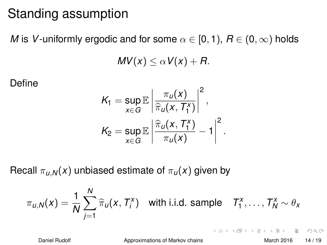### Standing assumption

*M* is *V*-uniformly ergodic and for some  $\alpha \in [0,1)$ ,  $R \in (0,\infty)$  holds

$$
MV(x) \leq \alpha V(x) + R.
$$

Define

$$
K_1 = \sup_{x \in G} \mathbb{E} \left| \frac{\pi_u(x)}{\hat{\pi}_u(x, T_1^x)} \right|^2,
$$
  

$$
K_2 = \sup_{x \in G} \mathbb{E} \left| \frac{\hat{\pi}_u(x, T_1^x)}{\pi_u(x)} - 1 \right|^2.
$$

Recall  $\pi_{\mu,N}(x)$  unbiased estimate of  $\pi_{\mu}(x)$  given by

$$
\pi_{u,N}(x) = \frac{1}{N} \sum_{j=1}^N \widehat{\pi}_u(x, T_j^x) \quad \text{with i.i.d. sample} \quad T_1^x, \ldots, T_N^x \sim \theta_x
$$

Daniel Rudolf [Approximations of Markov chains](#page-0-0) March 2016 14 / 19

 $OQ$ 

イロトイ団 トイヨトイヨト 一番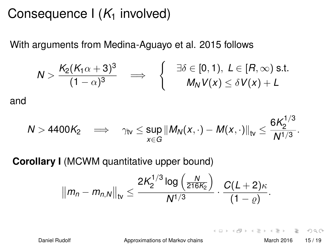### Consequence  $I(K_1$  involved)

With arguments from Medina-Aguayo et al. 2015 follows

$$
N > \frac{K_2(K_1\alpha+3)^3}{(1-\alpha)^3} \quad \Longrightarrow \quad \left\{\begin{array}{cl} \exists \delta \in [0,1), \ L \in [R,\infty) \text{ s.t.} \\ M_N V(x) \leq \delta V(x) + L \end{array}\right.
$$

and

$$
N>4400K_2\quad\Longrightarrow\quad\gamma_{\text{tv}}\leq\sup_{x\in G}\left\|M_N(x,\cdot)-M(x,\cdot)\right\|_{\text{tv}}\leq\frac{6K_2^{1/3}}{N^{1/3}}.
$$

**Corollary I** (MCWM quantitative upper bound)

$$
||m_n - m_{n,N}||_{\rm tv} \leq \frac{2K_2^{1/3} \log \left(\frac{N}{216K_2}\right)}{N^{1/3}} \cdot \frac{C(L+2)\kappa}{(1-\varrho)}.
$$

Daniel Rudolf **[Approximations of Markov chains](#page-0-0)** March 2016 15/19

 $\equiv$ 

 $OQ$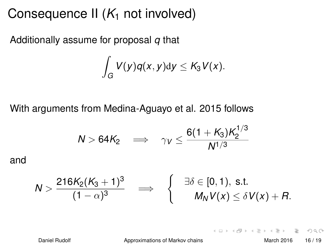### Consequence II  $(K_1$  not involved)

Additionally assume for proposal *q* that

$$
\int_G V(y)q(x,y)\mathrm{d}y\leq K_3V(x).
$$

With arguments from Medina-Aguayo et al. 2015 follows

$$
N > 64K_2 \quad \Longrightarrow \quad \gamma_V \leq \frac{6(1+K_3)K_2^{1/3}}{N^{1/3}}
$$

and

$$
N > \frac{216K_2(K_3+1)^3}{(1-\alpha)^3} \quad \Longrightarrow \quad \left\{ \begin{array}{cl} \exists \delta \in [0,1), \text{ s.t. } \\ M_N V(x) \leq \delta V(x) + R. \end{array} \right.
$$

Daniel Rudolf **[Approximations of Markov chains](#page-0-0)** March 2016 16/19

 $OQ$ 

イロト イ押ト イヨト イヨト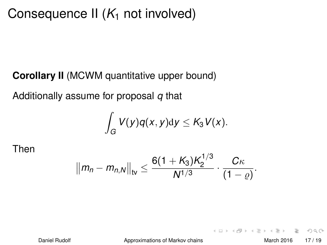### Consequence II  $(K_1$  not involved)

#### **Corollary II** (MCWM quantitative upper bound)

Additionally assume for proposal *q* that

$$
\int_G V(y)q(x,y)\mathrm{d}y\leq K_3V(x).
$$

Then

$$
||m_n - m_{n,N}||_{\rm tv} \leq \frac{6(1+K_3)K_2^{1/3}}{N^{1/3}} \cdot \frac{C\kappa}{(1-\varrho)}.
$$

Daniel Rudolf **[Approximations of Markov chains](#page-0-0)** March 2016 17/19

 $\equiv$ 

 $OQ$ 

イロト イ母 トイラト イラト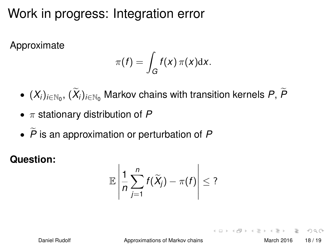## Work in progress: Integration error

Approximate

$$
\pi(f) = \int_G f(x) \, \pi(x) \mathrm{d}x.
$$

- $\bullet$   $(X_i)_{i \in \mathbb{N}_0}$ ,  $(X_i)_{i \in \mathbb{N}_0}$  Markov chains with transition kernels  $P$ ,  $P$
- π stationary distribution of *P*
- $\tilde{P}$  is an approximation or perturbation of P

**Question:**

$$
\mathbb{E}\left|\frac{1}{n}\sum_{j=1}^n f(\widetilde{X}_j)-\pi(f)\right|\leq?
$$

Daniel Rudolf **[Approximations of Markov chains](#page-0-0)** March 2016 18/19

 $\Omega$ 

 $(0.11)$   $(0.01)$   $(0.01)$   $(0.01)$   $(0.01)$   $(0.01)$   $(0.01)$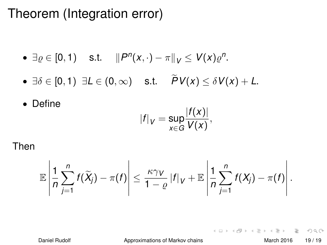### Theorem (Integration error)

• 
$$
\exists \varrho \in [0, 1)
$$
 s.t.  $||P^n(x, \cdot) - \pi||_V \le V(x)\varrho^n$ .

•  $\exists \delta \in [0,1)$   $\exists L \in (0,\infty)$  s.t.  $\widetilde{P}V(x) \leq \delta V(x) + L$ .

• Define

$$
|f|_V=\sup_{x\in G}\frac{|f(x)|}{V(x)},
$$

Then

$$
\mathbb{E}\left|\frac{1}{n}\sum_{j=1}^n f(\widetilde{X}_j)-\pi(f)\right|\leq \frac{\kappa\gamma_V}{1-\varrho}|f|_V+\mathbb{E}\left|\frac{1}{n}\sum_{j=1}^n f(X_j)-\pi(f)\right|.
$$

Daniel Rudolf **[Approximations of Markov chains](#page-0-0)** March 2016 19/19

 $\equiv$ 

 $OQ$